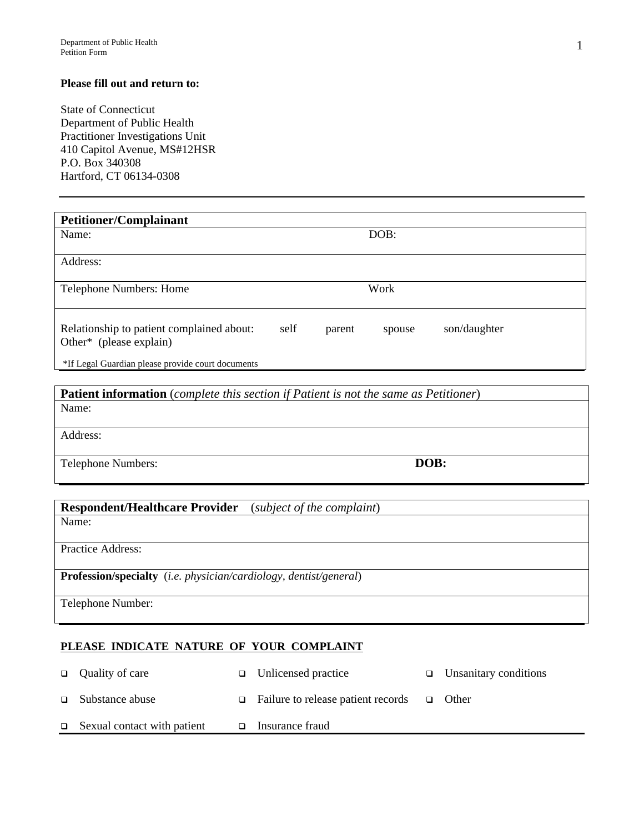## **Please fill out and return to:**

State of Connecticut Department of Public Health Practitioner Investigations Unit 410 Capitol Avenue, MS#12HSR P.O. Box 340308 Hartford, CT 06134-0308

| <b>Petitioner/Complainant</b>                                        |      |        |        |              |
|----------------------------------------------------------------------|------|--------|--------|--------------|
| Name:                                                                |      |        | DOB:   |              |
| Address:                                                             |      |        |        |              |
| <b>Telephone Numbers: Home</b>                                       |      |        | Work   |              |
| Relationship to patient complained about:<br>Other* (please explain) | self | parent | spouse | son/daughter |
| *If Legal Guardian please provide court documents                    |      |        |        |              |

**Patient information** (*complete this section if Patient is not the same as Petitioner*) Name: Address: Telephone Numbers: **DOB: DOB:** 

| <b>Respondent/Healthcare Provider</b><br>(subject of the complaint)               |  |  |  |  |
|-----------------------------------------------------------------------------------|--|--|--|--|
| Name:                                                                             |  |  |  |  |
|                                                                                   |  |  |  |  |
| Practice Address:                                                                 |  |  |  |  |
|                                                                                   |  |  |  |  |
| <b>Profession/specialty</b> ( <i>i.e. physician/cardiology, dentist/general</i> ) |  |  |  |  |
|                                                                                   |  |  |  |  |
| Telephone Number:                                                                 |  |  |  |  |
|                                                                                   |  |  |  |  |

## **PLEASE INDICATE NATURE OF YOUR COMPLAINT**

|        | $\Box$ Quality of care      | $\Box$ Unlicensed practice                      | $\Box$ Unsanitary conditions |
|--------|-----------------------------|-------------------------------------------------|------------------------------|
|        | $\Box$ Substance abuse      | Failure to release patient records $\Box$ Other |                              |
| $\Box$ | Sexual contact with patient | Insurance fraud                                 |                              |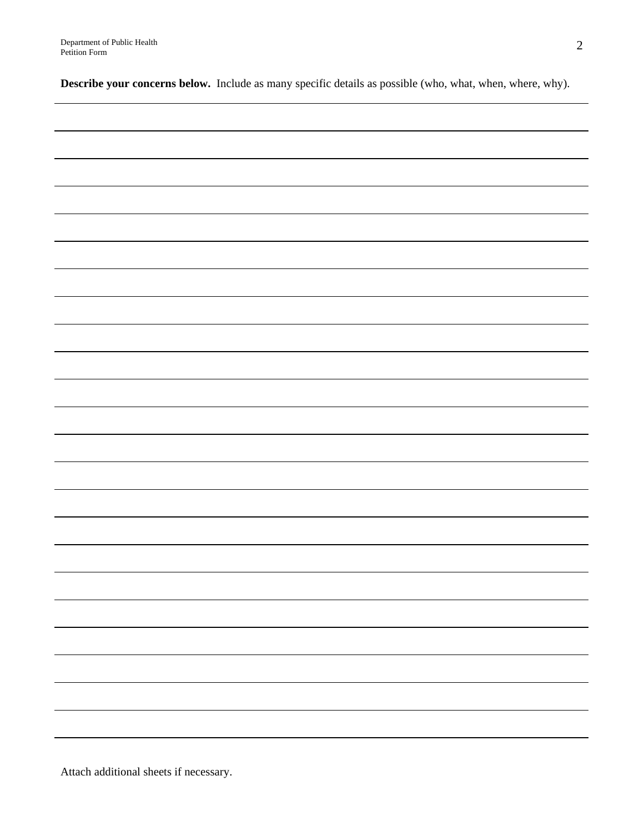**Describe your concerns below.** Include as many specific details as possible (who, what, when, where, why).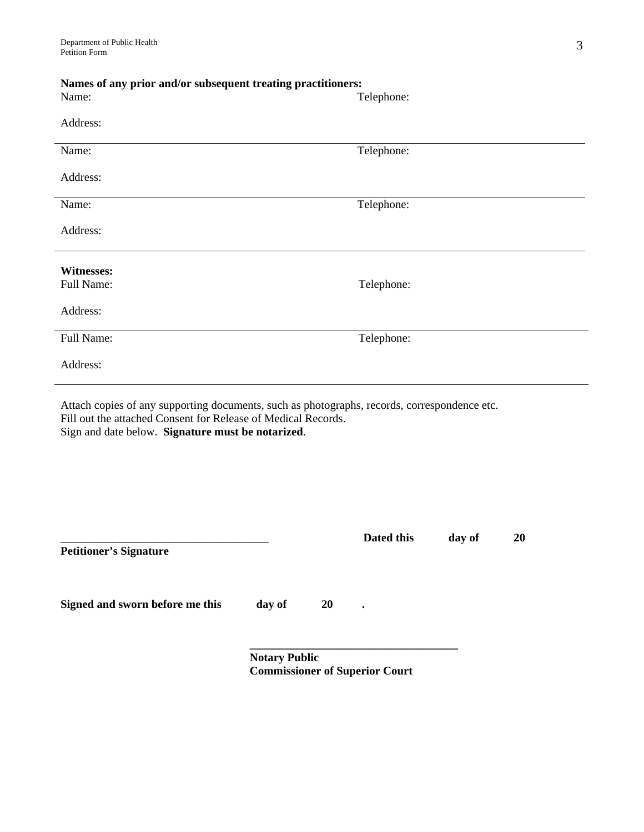| Names of any prior and/or subsequent treating practitioners:                                 |            |  |  |  |
|----------------------------------------------------------------------------------------------|------------|--|--|--|
| Name:                                                                                        | Telephone: |  |  |  |
|                                                                                              |            |  |  |  |
| Address:                                                                                     |            |  |  |  |
| Name:                                                                                        | Telephone: |  |  |  |
|                                                                                              |            |  |  |  |
| Address:                                                                                     |            |  |  |  |
|                                                                                              |            |  |  |  |
| Name:                                                                                        | Telephone: |  |  |  |
| Address:                                                                                     |            |  |  |  |
|                                                                                              |            |  |  |  |
|                                                                                              |            |  |  |  |
| <b>Witnesses:</b>                                                                            |            |  |  |  |
| Full Name:                                                                                   | Telephone: |  |  |  |
| Address:                                                                                     |            |  |  |  |
|                                                                                              |            |  |  |  |
| Full Name:                                                                                   | Telephone: |  |  |  |
|                                                                                              |            |  |  |  |
| Address:                                                                                     |            |  |  |  |
|                                                                                              |            |  |  |  |
| Attach copies of any supporting documents, such as photographs, records, correspondence etc. |            |  |  |  |

Attach copies of any supporting documents, such as photographs, records, correspondence etc. Fill out the attached Consent for Release of Medical Records. Sign and date below. **Signature must be notarized**.

|                                 |                                                   |           | Dated this | day of | <b>20</b> |
|---------------------------------|---------------------------------------------------|-----------|------------|--------|-----------|
| <b>Petitioner's Signature</b>   |                                                   |           |            |        |           |
|                                 |                                                   |           |            |        |           |
| Signed and sworn before me this | day of                                            | <b>20</b> | $\bullet$  |        |           |
|                                 |                                                   |           |            |        |           |
|                                 | $N_{\alpha\alpha}$ $\ldots$ $D_{\alpha}$ $\ldots$ |           |            |        |           |

 **Notary Public Commissioner of Superior Court**